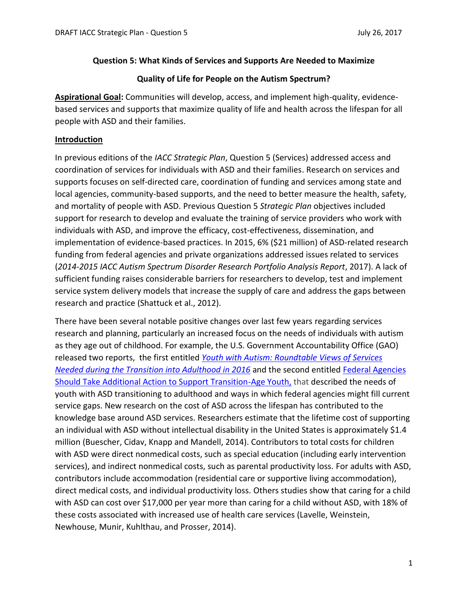#### **Question 5: What Kinds of Services and Supports Are Needed to Maximize**

### **Quality of Life for People on the Autism Spectrum?**

**Aspirational Goal:** Communities will develop, access, and implement high-quality, evidencebased services and supports that maximize quality of life and health across the lifespan for all people with ASD and their families.

## **Introduction**

In previous editions of the *IACC Strategic Plan*, Question 5 (Services) addressed access and coordination of services for individuals with ASD and their families. Research on services and supports focuses on self-directed care, coordination of funding and services among state and local agencies, community-based supports, and the need to better measure the health, safety, and mortality of people with ASD. Previous Question 5 *Strategic Plan* objectives included support for research to develop and evaluate the training of service providers who work with individuals with ASD, and improve the efficacy, cost-effectiveness, dissemination, and implementation of evidence-based practices. In 2015, 6% (\$21 million) of ASD-related research funding from federal agencies and private organizations addressed issues related to services (*2014-2015 IACC Autism Spectrum Disorder Research Portfolio Analysis Report*, 2017). A lack of sufficient funding raises considerable barriers for researchers to develop, test and implement service system delivery models that increase the supply of care and address the gaps between research and practice (Shattuck et al., 2012).

There have been several notable positive changes over last few years regarding services research and planning, particularly an increased focus on the needs of individuals with autism as they age out of childhood. For example, the U.S. Government Accountability Office (GAO) released two reports, the first entitled *[Youth with Autism: Roundtable Views of Services](https://www.gao.gov/assets/690/680525.pdf)  [Needed during the Transition into Adulthood](https://www.gao.gov/assets/690/680525.pdf) in 2016* and the second entitled [Federal Agencies](https://www.gao.gov/products/GAO-17-352)  [Should Take Additional Action to Support Transition-Age Youth,](https://www.gao.gov/products/GAO-17-352) that described the needs of youth with ASD transitioning to adulthood and ways in which federal agencies might fill current service gaps. New research on the cost of ASD across the lifespan has contributed to the knowledge base around ASD services. Researchers estimate that the lifetime cost of supporting an individual with ASD without intellectual disability in the United States is approximately \$1.4 million (Buescher, Cidav, Knapp and Mandell, 2014). Contributors to total costs for children with ASD were direct nonmedical costs, such as special education (including early intervention services), and indirect nonmedical costs, such as parental productivity loss. For adults with ASD, contributors include accommodation (residential care or supportive living accommodation), direct medical costs, and individual productivity loss. Others studies show that caring for a child with ASD can cost over \$17,000 per year more than caring for a child without ASD, with 18% of these costs associated with increased use of health care services (Lavelle, Weinstein, Newhouse, Munir, Kuhlthau, and Prosser, 2014).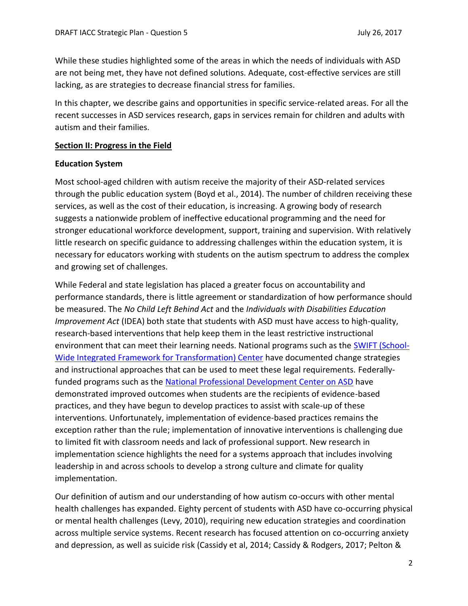While these studies highlighted some of the areas in which the needs of individuals with ASD are not being met, they have not defined solutions. Adequate, cost-effective services are still lacking, as are strategies to decrease financial stress for families.

In this chapter, we describe gains and opportunities in specific service-related areas. For all the recent successes in ASD services research, gaps in services remain for children and adults with autism and their families.

#### **Section II: Progress in the Field**

#### **Education System**

Most school-aged children with autism receive the majority of their ASD-related services through the public education system (Boyd et al., 2014). The number of children receiving these services, as well as the cost of their education, is increasing. A growing body of research suggests a nationwide problem of ineffective educational programming and the need for stronger educational workforce development, support, training and supervision. With relatively little research on specific guidance to addressing challenges within the education system, it is necessary for educators working with students on the autism spectrum to address the complex and growing set of challenges.

While Federal and state legislation has placed a greater focus on accountability and performance standards, there is little agreement or standardization of how performance should be measured. The *No Child Left Behind Act* and the *Individuals with Disabilities Education Improvement Act* (IDEA) both state that students with ASD must have access to high-quality, research-based interventions that help keep them in the least restrictive instructional environment that can meet their learning needs. National programs such as the [SWIFT \(School-](http://www.swiftschools.org/)[Wide Integrated Framework for Transformation\) Center](http://www.swiftschools.org/) have documented change strategies and instructional approaches that can be used to meet these legal requirements. Federallyfunded programs such as the [National Professional Development Center on ASD](http://autismpdc.fpg.unc.edu/) have demonstrated improved outcomes when students are the recipients of evidence-based practices, and they have begun to develop practices to assist with scale-up of these interventions. Unfortunately, implementation of evidence-based practices remains the exception rather than the rule; implementation of innovative interventions is challenging due to limited fit with classroom needs and lack of professional support. New research in implementation science highlights the need for a systems approach that includes involving leadership in and across schools to develop a strong culture and climate for quality implementation.

Our definition of autism and our understanding of how autism co-occurs with other mental health challenges has expanded. Eighty percent of students with ASD have co-occurring physical or mental health challenges (Levy, 2010), requiring new education strategies and coordination across multiple service systems. Recent research has focused attention on co-occurring anxiety and depression, as well as suicide risk (Cassidy et al, 2014; Cassidy & Rodgers, 2017; Pelton &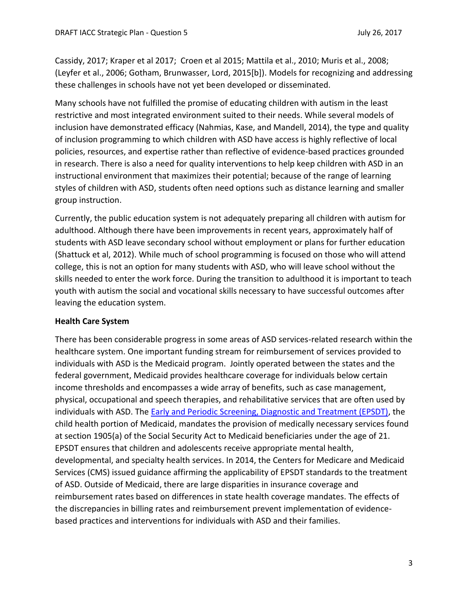Cassidy, 2017; Kraper et al 2017; Croen et al 2015; Mattila et al., 2010; Muris et al., 2008; (Leyfer et al., 2006; Gotham, Brunwasser, Lord, 2015[b]). Models for recognizing and addressing these challenges in schools have not yet been developed or disseminated.

Many schools have not fulfilled the promise of educating children with autism in the least restrictive and most integrated environment suited to their needs. While several models of inclusion have demonstrated efficacy (Nahmias, Kase, and Mandell, 2014), the type and quality of inclusion programming to which children with ASD have access is highly reflective of local policies, resources, and expertise rather than reflective of evidence-based practices grounded in research. There is also a need for quality interventions to help keep children with ASD in an instructional environment that maximizes their potential; because of the range of learning styles of children with ASD, students often need options such as distance learning and smaller group instruction.

Currently, the public education system is not adequately preparing all children with autism for adulthood. Although there have been improvements in recent years, approximately half of students with ASD leave secondary school without employment or plans for further education (Shattuck et al, 2012). While much of school programming is focused on those who will attend college, this is not an option for many students with ASD, who will leave school without the skills needed to enter the work force. During the transition to adulthood it is important to teach youth with autism the social and vocational skills necessary to have successful outcomes after leaving the education system.

# **Health Care System**

There has been considerable progress in some areas of ASD services-related research within the healthcare system. One important funding stream for reimbursement of services provided to individuals with ASD is the Medicaid program. Jointly operated between the states and the federal government, Medicaid provides healthcare coverage for individuals below certain income thresholds and encompasses a wide array of benefits, such as case management, physical, occupational and speech therapies, and rehabilitative services that are often used by individuals with ASD. The **Early and Periodic Screening, Diagnostic and Treatment (EPSDT)**, the child health portion of Medicaid, mandates the provision of medically necessary services found at section 1905(a) of the Social Security Act to Medicaid beneficiaries under the age of 21. EPSDT ensures that children and adolescents receive appropriate mental health, developmental, and specialty health services. In 2014, the Centers for Medicare and Medicaid Services (CMS) issued guidance affirming the applicability of EPSDT standards to the treatment of ASD. Outside of Medicaid, there are large disparities in insurance coverage and reimbursement rates based on differences in state health coverage mandates. The effects of the discrepancies in billing rates and reimbursement prevent implementation of evidencebased practices and interventions for individuals with ASD and their families.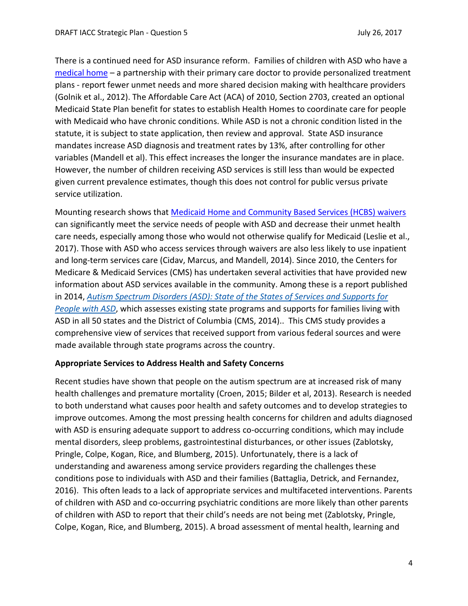There is a continued need for ASD insurance reform. Families of children with ASD who have a [medical home](https://www.pcpcc.org/about/medical-home) – a partnership with their primary care doctor to provide personalized treatment plans - report fewer unmet needs and more shared decision making with healthcare providers (Golnik et al., 2012). The Affordable Care Act (ACA) of 2010, Section 2703, created an optional Medicaid State Plan benefit for states to establish Health Homes to coordinate care for people with Medicaid who have chronic conditions. While ASD is not a chronic condition listed in the statute, it is subject to state application, then review and approval. State ASD insurance mandates increase ASD diagnosis and treatment rates by 13%, after controlling for other variables (Mandell et al). This effect increases the longer the insurance mandates are in place. However, the number of children receiving ASD services is still less than would be expected given current prevalence estimates, though this does not control for public versus private service utilization.

Mounting research shows that [Medicaid Home and Community Based Services \(HCBS\) waivers](https://www.medicaid.gov/medicaid/hcbs/authorities/1915-c/index.html) can significantly meet the service needs of people with ASD and decrease their unmet health care needs, especially among those who would not otherwise qualify for Medicaid (Leslie et al., 2017). Those with ASD who access services through waivers are also less likely to use inpatient and long-term services care (Cidav, Marcus, and Mandell, 2014). Since 2010, the Centers for Medicare & Medicaid Services (CMS) has undertaken several activities that have provided new information about ASD services available in the community. Among these is a report published in 2014, *Autism [Spectrum](https://www.medicaid.gov/medicaid/ltss/downloads/asd-state-of-the-states-report.pdf) Disorders (ASD): State of the States of Services and Supports for [People](https://www.medicaid.gov/medicaid/ltss/downloads/asd-state-of-the-states-report.pdf) with ASD*, which assesses existing state programs and supports for families living with ASD in all 50 states and the District of Columbia (CMS, 2014).. This CMS study provides a comprehensive view of services that received support from various federal sources and were made available through state programs across the country.

#### **Appropriate Services to Address Health and Safety Concerns**

Recent studies have shown that people on the autism spectrum are at increased risk of many health challenges and premature mortality (Croen, 2015; Bilder et al, 2013). Research is needed to both understand what causes poor health and safety outcomes and to develop strategies to improve outcomes. Among the most pressing health concerns for children and adults diagnosed with ASD is ensuring adequate support to address co-occurring conditions, which may include mental disorders, sleep problems, gastrointestinal disturbances, or other issues (Zablotsky, Pringle, Colpe, Kogan, Rice, and Blumberg, 2015). Unfortunately, there is a lack of understanding and awareness among service providers regarding the challenges these conditions pose to individuals with ASD and their families (Battaglia, Detrick, and Fernandez, 2016). This often leads to a lack of appropriate services and multifaceted interventions. Parents of children with ASD and co-occurring psychiatric conditions are more likely than other parents of children with ASD to report that their child's needs are not being met (Zablotsky, Pringle, Colpe, Kogan, Rice, and Blumberg, 2015). A broad assessment of mental health, learning and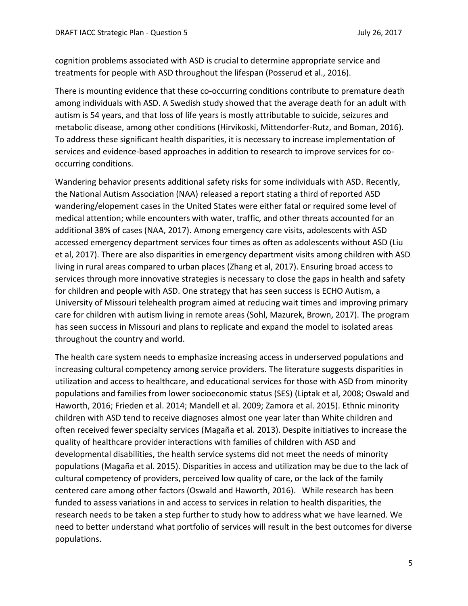cognition problems associated with ASD is crucial to determine appropriate service and treatments for people with ASD throughout the lifespan (Posserud et al., 2016).

There is mounting evidence that these co-occurring conditions contribute to premature death among individuals with ASD. A Swedish study showed that the average death for an adult with autism is 54 years, and that loss of life years is mostly attributable to suicide, seizures and metabolic disease, among other conditions (Hirvikoski, Mittendorfer-Rutz, and Boman, 2016). To address these significant health disparities, it is necessary to increase implementation of services and evidence-based approaches in addition to research to improve services for cooccurring conditions.

Wandering behavior presents additional safety risks for some individuals with ASD. Recently, the National Autism Association (NAA) released a report stating a third of reported ASD wandering/elopement cases in the United States were either fatal or required some level of medical attention; while encounters with water, traffic, and other threats accounted for an additional 38% of cases (NAA, 2017). Among emergency care visits, adolescents with ASD accessed emergency department services four times as often as adolescents without ASD (Liu et al, 2017). There are also disparities in emergency department visits among children with ASD living in rural areas compared to urban places (Zhang et al, 2017). Ensuring broad access to services through more innovative strategies is necessary to close the gaps in health and safety for children and people with ASD. One strategy that has seen success is ECHO Autism, a University of Missouri telehealth program aimed at reducing wait times and improving primary care for children with autism living in remote areas (Sohl, Mazurek, Brown, 2017). The program has seen success in Missouri and plans to replicate and expand the model to isolated areas throughout the country and world.

The health care system needs to emphasize increasing access in underserved populations and increasing cultural competency among service providers. The literature suggests disparities in utilization and access to healthcare, and educational services for those with ASD from minority populations and families from lower socioeconomic status (SES) (Liptak et al, 2008; Oswald and Haworth, 2016; Frieden et al. 2014; Mandell et al. 2009; Zamora et al. 2015). Ethnic minority children with ASD tend to receive diagnoses almost one year later than White children and often received fewer specialty services (Magaña et al. 2013). Despite initiatives to increase the quality of healthcare provider interactions with families of children with ASD and developmental disabilities, the health service systems did not meet the needs of minority populations (Magaña et al. 2015). Disparities in access and utilization may be due to the lack of cultural competency of providers, perceived low quality of care, or the lack of the family centered care among other factors (Oswald and Haworth, 2016). While research has been funded to assess variations in and access to services in relation to health disparities, the research needs to be taken a step further to study how to address what we have learned. We need to better understand what portfolio of services will result in the best outcomes for diverse populations.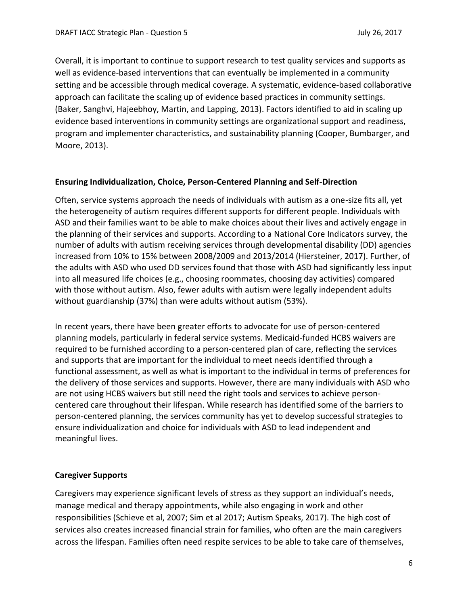Overall, it is important to continue to support research to test quality services and supports as well as evidence-based interventions that can eventually be implemented in a community setting and be accessible through medical coverage. A systematic, evidence-based collaborative approach can facilitate the scaling up of evidence based practices in community settings. (Baker, Sanghvi, Hajeebhoy, Martin, and Lapping, 2013). Factors identified to aid in scaling up evidence based interventions in community settings are organizational support and readiness, program and implementer characteristics, and sustainability planning (Cooper, Bumbarger, and Moore, 2013).

# **Ensuring Individualization, Choice, Person-Centered Planning and Self-Direction**

Often, service systems approach the needs of individuals with autism as a one-size fits all, yet the heterogeneity of autism requires different supports for different people. Individuals with ASD and their families want to be able to make choices about their lives and actively engage in the planning of their services and supports. According to a National Core Indicators survey, the number of adults with autism receiving services through developmental disability (DD) agencies increased from 10% to 15% between 2008/2009 and 2013/2014 (Hiersteiner, 2017). Further, of the adults with ASD who used DD services found that those with ASD had significantly less input into all measured life choices (e.g., choosing roommates, choosing day activities) compared with those without autism. Also, fewer adults with autism were legally independent adults without guardianship (37%) than were adults without autism (53%).

In recent years, there have been greater efforts to advocate for use of person-centered planning models, particularly in federal service systems. Medicaid-funded HCBS waivers are required to be furnished according to a person-centered plan of care, reflecting the services and supports that are important for the individual to meet needs identified through a functional assessment, as well as what is important to the individual in terms of preferences for the delivery of those services and supports. However, there are many individuals with ASD who are not using HCBS waivers but still need the right tools and services to achieve personcentered care throughout their lifespan. While research has identified some of the barriers to person-centered planning, the services community has yet to develop successful strategies to ensure individualization and choice for individuals with ASD to lead independent and meaningful lives.

# **Caregiver Supports**

Caregivers may experience significant levels of stress as they support an individual's needs, manage medical and therapy appointments, while also engaging in work and other responsibilities (Schieve et al, 2007; Sim et al 2017; Autism Speaks, 2017). The high cost of services also creates increased financial strain for families, who often are the main caregivers across the lifespan. Families often need respite services to be able to take care of themselves,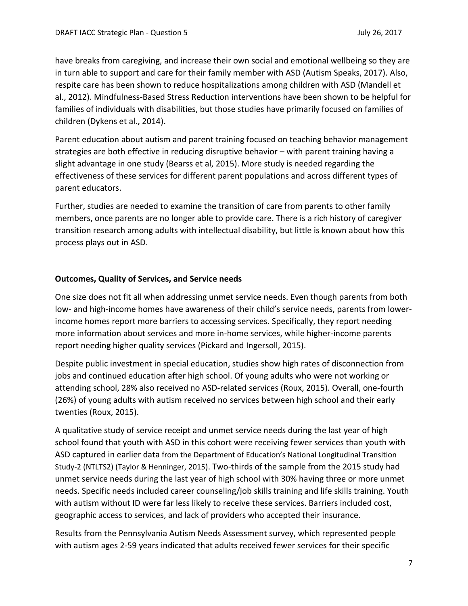have breaks from caregiving, and increase their own social and emotional wellbeing so they are in turn able to support and care for their family member with ASD (Autism Speaks, 2017). Also, respite care has been shown to reduce hospitalizations among children with ASD (Mandell et al., 2012). Mindfulness-Based Stress Reduction interventions have been shown to be helpful for families of individuals with disabilities, but those studies have primarily focused on families of children (Dykens et al., 2014).

Parent education about autism and parent training focused on teaching behavior management strategies are both effective in reducing disruptive behavior – with parent training having a slight advantage in one study (Bearss et al, 2015). More study is needed regarding the effectiveness of these services for different parent populations and across different types of parent educators.

Further, studies are needed to examine the transition of care from parents to other family members, once parents are no longer able to provide care. There is a rich history of caregiver transition research among adults with intellectual disability, but little is known about how this process plays out in ASD.

### **Outcomes, Quality of Services, and Service needs**

One size does not fit all when addressing unmet service needs. Even though parents from both low- and high-income homes have awareness of their child's service needs, parents from lowerincome homes report more barriers to accessing services. Specifically, they report needing more information about services and more in-home services, while higher-income parents report needing higher quality services (Pickard and Ingersoll, 2015).

Despite public investment in special education, studies show high rates of disconnection from jobs and continued education after high school. Of young adults who were not working or attending school, 28% also received no ASD-related services (Roux, 2015). Overall, one-fourth (26%) of young adults with autism received no services between high school and their early twenties (Roux, 2015).

A qualitative study of service receipt and unmet service needs during the last year of high school found that youth with ASD in this cohort were receiving fewer services than youth with ASD captured in earlier data from the Department of Education's National Longitudinal Transition Study-2 (NTLTS2) (Taylor & Henninger, 2015). Two-thirds of the sample from the 2015 study had unmet service needs during the last year of high school with 30% having three or more unmet needs. Specific needs included career counseling/job skills training and life skills training. Youth with autism without ID were far less likely to receive these services. Barriers included cost, geographic access to services, and lack of providers who accepted their insurance.

Results from the Pennsylvania Autism Needs Assessment survey, which represented people with autism ages 2-59 years indicated that adults received fewer services for their specific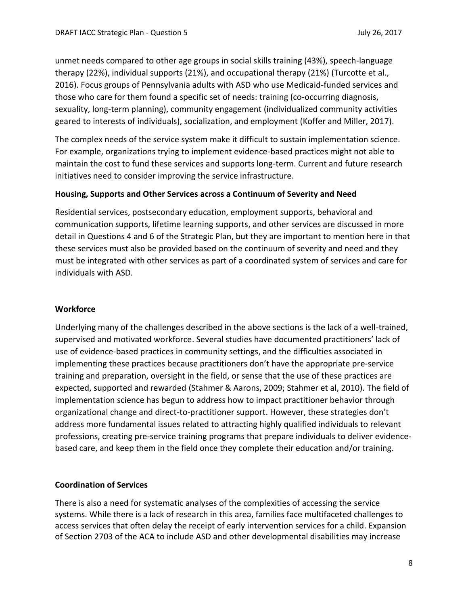unmet needs compared to other age groups in social skills training (43%), speech-language therapy (22%), individual supports (21%), and occupational therapy (21%) (Turcotte et al., 2016). Focus groups of Pennsylvania adults with ASD who use Medicaid-funded services and those who care for them found a specific set of needs: training (co-occurring diagnosis, sexuality, long-term planning), community engagement (individualized community activities geared to interests of individuals), socialization, and employment (Koffer and Miller, 2017).

The complex needs of the service system make it difficult to sustain implementation science. For example, organizations trying to implement evidence-based practices might not able to maintain the cost to fund these services and supports long-term. Current and future research initiatives need to consider improving the service infrastructure.

### **Housing, Supports and Other Services across a Continuum of Severity and Need**

Residential services, postsecondary education, employment supports, behavioral and communication supports, lifetime learning supports, and other services are discussed in more detail in Questions 4 and 6 of the Strategic Plan, but they are important to mention here in that these services must also be provided based on the continuum of severity and need and they must be integrated with other services as part of a coordinated system of services and care for individuals with ASD.

# **Workforce**

Underlying many of the challenges described in the above sections is the lack of a well-trained, supervised and motivated workforce. Several studies have documented practitioners' lack of use of evidence-based practices in community settings, and the difficulties associated in implementing these practices because practitioners don't have the appropriate pre-service training and preparation, oversight in the field, or sense that the use of these practices are expected, supported and rewarded (Stahmer & Aarons, 2009; Stahmer et al, 2010). The field of implementation science has begun to address how to impact practitioner behavior through organizational change and direct-to-practitioner support. However, these strategies don't address more fundamental issues related to attracting highly qualified individuals to relevant professions, creating pre-service training programs that prepare individuals to deliver evidencebased care, and keep them in the field once they complete their education and/or training.

#### **Coordination of Services**

There is also a need for systematic analyses of the complexities of accessing the service systems. While there is a lack of research in this area, families face multifaceted challenges to access services that often delay the receipt of early intervention services for a child. Expansion of Section 2703 of the ACA to include ASD and other developmental disabilities may increase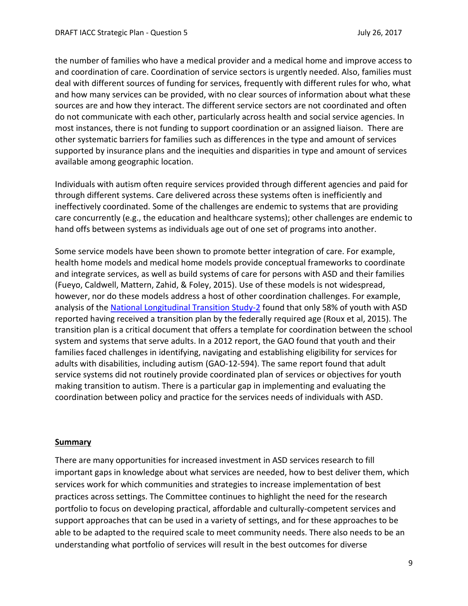the number of families who have a medical provider and a medical home and improve access to and coordination of care. Coordination of service sectors is urgently needed. Also, families must deal with different sources of funding for services, frequently with different rules for who, what and how many services can be provided, with no clear sources of information about what these sources are and how they interact. The different service sectors are not coordinated and often do not communicate with each other, particularly across health and social service agencies. In most instances, there is not funding to support coordination or an assigned liaison. There are other systematic barriers for families such as differences in the type and amount of services supported by insurance plans and the inequities and disparities in type and amount of services available among geographic location.

Individuals with autism often require services provided through different agencies and paid for through different systems. Care delivered across these systems often is inefficiently and ineffectively coordinated. Some of the challenges are endemic to systems that are providing care concurrently (e.g., the education and healthcare systems); other challenges are endemic to hand offs between systems as individuals age out of one set of programs into another.

Some service models have been shown to promote better integration of care. For example, health home models and medical home models provide conceptual frameworks to coordinate and integrate services, as well as build systems of care for persons with ASD and their families (Fueyo, Caldwell, Mattern, Zahid, & Foley, 2015). Use of these models is not widespread, however, nor do these models address a host of other coordination challenges. For example, analysis of the [National Longitudinal Transition Study-2](https://nlts2.sri.com/) found that only 58% of youth with ASD reported having received a transition plan by the federally required age (Roux et al, 2015). The transition plan is a critical document that offers a template for coordination between the school system and systems that serve adults. In a 2012 report, the GAO found that youth and their families faced challenges in identifying, navigating and establishing eligibility for services for adults with disabilities, including autism (GAO-12-594). The same report found that adult service systems did not routinely provide coordinated plan of services or objectives for youth making transition to autism. There is a particular gap in implementing and evaluating the coordination between policy and practice for the services needs of individuals with ASD.

#### **Summary**

There are many opportunities for increased investment in ASD services research to fill important gaps in knowledge about what services are needed, how to best deliver them, which services work for which communities and strategies to increase implementation of best practices across settings. The Committee continues to highlight the need for the research portfolio to focus on developing practical, affordable and culturally-competent services and support approaches that can be used in a variety of settings, and for these approaches to be able to be adapted to the required scale to meet community needs. There also needs to be an understanding what portfolio of services will result in the best outcomes for diverse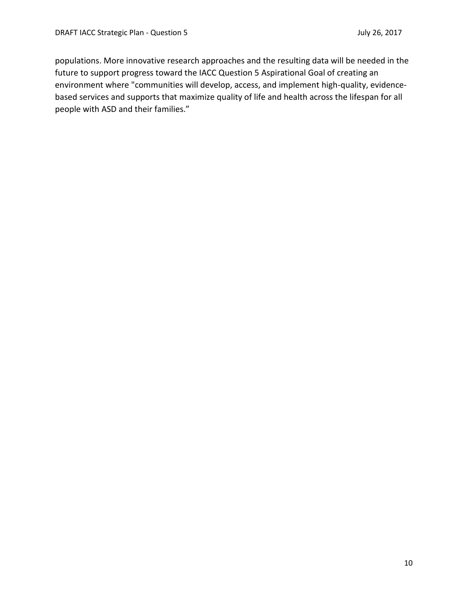populations. More innovative research approaches and the resulting data will be needed in the future to support progress toward the IACC Question 5 Aspirational Goal of creating an environment where "communities will develop, access, and implement high-quality, evidencebased services and supports that maximize quality of life and health across the lifespan for all people with ASD and their families."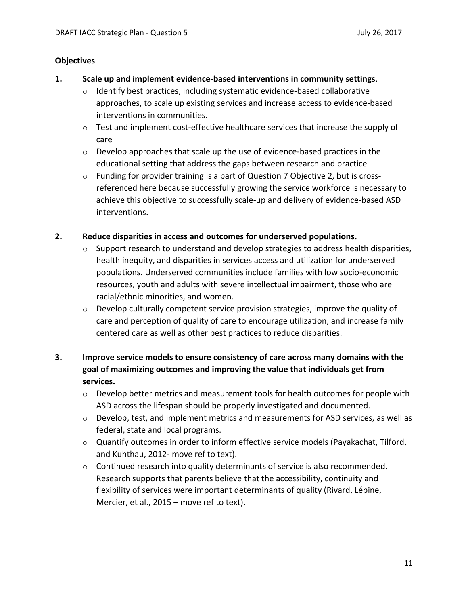### **Objectives**

#### **1. Scale up and implement evidence-based interventions in community settings**.

- $\circ$  Identify best practices, including systematic evidence-based collaborative approaches, to scale up existing services and increase access to evidence-based interventions in communities.
- o Test and implement cost-effective healthcare services that increase the supply of care
- o Develop approaches that scale up the use of evidence-based practices in the educational setting that address the gaps between research and practice
- $\circ$  Funding for provider training is a part of Question 7 Objective 2, but is crossreferenced here because successfully growing the service workforce is necessary to achieve this objective to successfully scale-up and delivery of evidence-based ASD interventions.

# **2. Reduce disparities in access and outcomes for underserved populations.**

- o Support research to understand and develop strategies to address health disparities, health inequity, and disparities in services access and utilization for underserved populations. Underserved communities include families with low socio-economic resources, youth and adults with severe intellectual impairment, those who are racial/ethnic minorities, and women.
- $\circ$  Develop culturally competent service provision strategies, improve the quality of care and perception of quality of care to encourage utilization, and increase family centered care as well as other best practices to reduce disparities.

# **3. Improve service models to ensure consistency of care across many domains with the goal of maximizing outcomes and improving the value that individuals get from services.**

- $\circ$  Develop better metrics and measurement tools for health outcomes for people with ASD across the lifespan should be properly investigated and documented.
- $\circ$  Develop, test, and implement metrics and measurements for ASD services, as well as federal, state and local programs.
- o Quantify outcomes in order to inform effective service models (Payakachat, Tilford, and Kuhthau, 2012- move ref to text).
- $\circ$  Continued research into quality determinants of service is also recommended. Research supports that parents believe that the accessibility, continuity and flexibility of services were important determinants of quality (Rivard, Lépine, Mercier, et al., 2015 – move ref to text).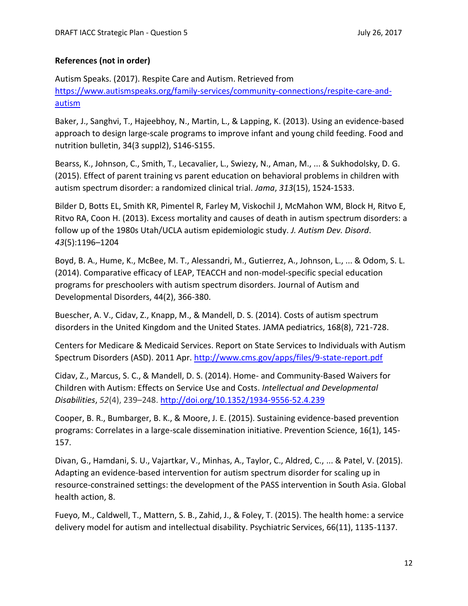# **References (not in order)**

Autism Speaks. (2017). Respite Care and Autism. Retrieved from [https://www.autismspeaks.org/family-services/community-connections/respite-care-and](https://www.autismspeaks.org/family-services/community-connections/respite-care-and-autism)[autism](https://www.autismspeaks.org/family-services/community-connections/respite-care-and-autism)

Baker, J., Sanghvi, T., Hajeebhoy, N., Martin, L., & Lapping, K. (2013). Using an evidence-based approach to design large-scale programs to improve infant and young child feeding. Food and nutrition bulletin, 34(3 suppl2), S146-S155.

Bearss, K., Johnson, C., Smith, T., Lecavalier, L., Swiezy, N., Aman, M., ... & Sukhodolsky, D. G. (2015). Effect of parent training vs parent education on behavioral problems in children with autism spectrum disorder: a randomized clinical trial. *Jama*, *313*(15), 1524-1533.

Bilder D, Botts EL, Smith KR, Pimentel R, Farley M, Viskochil J, McMahon WM, Block H, Ritvo E, Ritvo RA, Coon H. (2013). Excess mortality and causes of death in autism spectrum disorders: a follow up of the 1980s Utah/UCLA autism epidemiologic study. *J. Autism Dev. Disord*. *43*(5):1196–1204

Boyd, B. A., Hume, K., McBee, M. T., Alessandri, M., Gutierrez, A., Johnson, L., ... & Odom, S. L. (2014). Comparative efficacy of LEAP, TEACCH and non-model-specific special education programs for preschoolers with autism spectrum disorders. Journal of Autism and Developmental Disorders, 44(2), 366-380.

Buescher, A. V., Cidav, Z., Knapp, M., & Mandell, D. S. (2014). Costs of autism spectrum disorders in the United Kingdom and the United States. JAMA pediatrics, 168(8), 721-728.

Centers for Medicare & Medicaid Services. Report on State Services to Individuals with Autism Spectrum Disorders (ASD). 2011 Apr.<http://www.cms.gov/apps/files/9-state-report.pdf>

Cidav, Z., Marcus, S. C., & Mandell, D. S. (2014). Home- and Community-Based Waivers for Children with Autism: Effects on Service Use and Costs. *Intellectual and Developmental Disabilities*, *52*(4), 239–248[. http://doi.org/10.1352/1934-9556-52.4.239](http://doi.org/10.1352/1934-9556-52.4.239)

Cooper, B. R., Bumbarger, B. K., & Moore, J. E. (2015). Sustaining evidence-based prevention programs: Correlates in a large-scale dissemination initiative. Prevention Science, 16(1), 145- 157.

Divan, G., Hamdani, S. U., Vajartkar, V., Minhas, A., Taylor, C., Aldred, C., ... & Patel, V. (2015). Adapting an evidence-based intervention for autism spectrum disorder for scaling up in resource-constrained settings: the development of the PASS intervention in South Asia. Global health action, 8.

Fueyo, M., Caldwell, T., Mattern, S. B., Zahid, J., & Foley, T. (2015). The health home: a service delivery model for autism and intellectual disability. Psychiatric Services, 66(11), 1135-1137.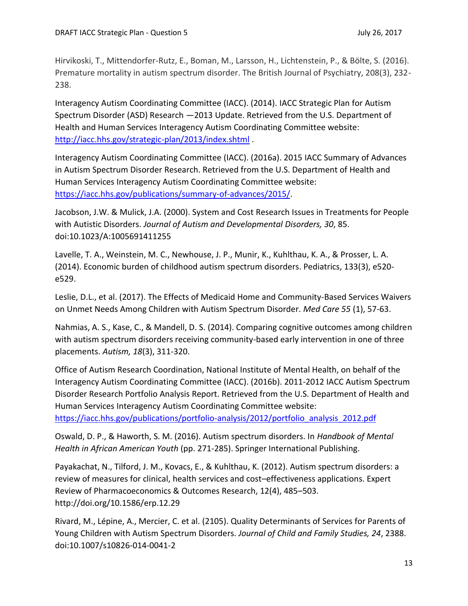Hirvikoski, T., Mittendorfer-Rutz, E., Boman, M., Larsson, H., Lichtenstein, P., & Bölte, S. (2016). Premature mortality in autism spectrum disorder. The British Journal of Psychiatry, 208(3), 232- 238.

Interagency Autism Coordinating Committee (IACC). (2014). IACC Strategic Plan for Autism Spectrum Disorder (ASD) Research —2013 Update. Retrieved from the U.S. Department of Health and Human Services Interagency Autism Coordinating Committee website: <http://iacc.hhs.gov/strategic-plan/2013/index.shtml> .

Interagency Autism Coordinating Committee (IACC). (2016a). 2015 IACC Summary of Advances in Autism Spectrum Disorder Research. Retrieved from the U.S. Department of Health and Human Services Interagency Autism Coordinating Committee website: [https://iacc.hhs.gov/publications/summary-of-advances/2015/.](https://iacc.hhs.gov/publications/summary-of-advances/2015/)

Jacobson, J.W. & Mulick, J.A. (2000). System and Cost Research Issues in Treatments for People with Autistic Disorders. *Journal of Autism and Developmental Disorders, 30*, 85. doi:10.1023/A:1005691411255

Lavelle, T. A., Weinstein, M. C., Newhouse, J. P., Munir, K., Kuhlthau, K. A., & Prosser, L. A. (2014). Economic burden of childhood autism spectrum disorders. Pediatrics, 133(3), e520 e529.

Leslie, D.L., et al. (2017). The Effects of Medicaid Home and Community-Based Services Waivers on Unmet Needs Among Children with Autism Spectrum Disorder. *Med Care 55* (1), 57-63.

Nahmias, A. S., Kase, C., & Mandell, D. S. (2014). Comparing cognitive outcomes among children with autism spectrum disorders receiving community-based early intervention in one of three placements. *Autism, 18*(3), 311-320.

Office of Autism Research Coordination, National Institute of Mental Health, on behalf of the Interagency Autism Coordinating Committee (IACC). (2016b). 2011-2012 IACC Autism Spectrum Disorder Research Portfolio Analysis Report. Retrieved from the U.S. Department of Health and Human Services Interagency Autism Coordinating Committee website: [https://iacc.hhs.gov/publications/portfolio-analysis/2012/portfolio\\_analysis\\_2012.pdf](https://iacc.hhs.gov/publications/portfolio-analysis/2012/portfolio_analysis_2012.pdf)

Oswald, D. P., & Haworth, S. M. (2016). Autism spectrum disorders. In *Handbook of Mental Health in African American Youth* (pp. 271-285). Springer International Publishing.

Payakachat, N., Tilford, J. M., Kovacs, E., & Kuhlthau, K. (2012). Autism spectrum disorders: a review of measures for clinical, health services and cost–effectiveness applications. Expert Review of Pharmacoeconomics & Outcomes Research, 12(4), 485–503. http://doi.org/10.1586/erp.12.29

Rivard, M., Lépine, A., Mercier, C. et al. (2105). Quality Determinants of Services for Parents of Young Children with Autism Spectrum Disorders. *Journal of Child and Family Studies, 24*, 2388. doi:10.1007/s10826-014-0041-2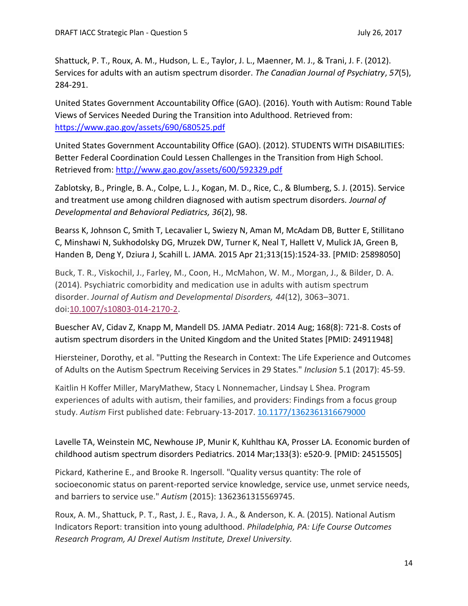Shattuck, P. T., Roux, A. M., Hudson, L. E., Taylor, J. L., Maenner, M. J., & Trani, J. F. (2012). Services for adults with an autism spectrum disorder. *The Canadian Journal of Psychiatry*, *57*(5), 284-291.

United States Government Accountability Office (GAO). (2016). Youth with Autism: Round Table Views of Services Needed During the Transition into Adulthood. Retrieved from: <https://www.gao.gov/assets/690/680525.pdf>

United States Government Accountability Office (GAO). (2012). STUDENTS WITH DISABILITIES: Better Federal Coordination Could Lessen Challenges in the Transition from High School. Retrieved from:<http://www.gao.gov/assets/600/592329.pdf>

Zablotsky, B., Pringle, B. A., Colpe, L. J., Kogan, M. D., Rice, C., & Blumberg, S. J. (2015). Service and treatment use among children diagnosed with autism spectrum disorders*. Journal of Developmental and Behavioral Pediatrics, 36*(2), 98.

Bearss K, Johnson C, Smith T, Lecavalier L, Swiezy N, Aman M, McAdam DB, Butter E, Stillitano C, Minshawi N, Sukhodolsky DG, Mruzek DW, Turner K, Neal T, Hallett V, Mulick JA, Green B, Handen B, Deng Y, Dziura J, Scahill L. JAMA. 2015 Apr 21;313(15):1524-33. [PMID: 25898050]

Buck, T. R., Viskochil, J., Farley, M., Coon, H., McMahon, W. M., Morgan, J., & Bilder, D. A. (2014). Psychiatric comorbidity and medication use in adults with autism spectrum disorder. *Journal of Autism and Developmental Disorders, 44*(12), 3063–3071. doi[:10.1007/s10803-014-2170-2.](http://dx.doi.org/10.1007/s10803-014-2170-2)

Buescher AV, Cidav Z, Knapp M, Mandell DS. JAMA Pediatr. 2014 Aug; 168(8): 721-8. Costs of autism spectrum disorders in the United Kingdom and the United States [PMID: 24911948]

Hiersteiner, Dorothy, et al. "Putting the Research in Context: The Life Experience and Outcomes of Adults on the Autism Spectrum Receiving Services in 29 States." *Inclusion* 5.1 (2017): 45-59.

Kaitlin H Koffer Miller, MaryMathew, Stacy L Nonnemacher, Lindsay L Shea. Program experiences of adults with autism, their families, and providers: Findings from a focus group study. *Autism* First published date: February-13-2017[. 10.1177/1362361316679000](http://dx.doi.org/10.1177%2F1362361316679000)

Lavelle TA, Weinstein MC, Newhouse JP, Munir K, Kuhlthau KA, Prosser LA. Economic burden of childhood autism spectrum disorders Pediatrics. 2014 Mar;133(3): e520-9. [PMID: 24515505]

Pickard, Katherine E., and Brooke R. Ingersoll. "Quality versus quantity: The role of socioeconomic status on parent-reported service knowledge, service use, unmet service needs, and barriers to service use." *Autism* (2015): 1362361315569745.

Roux, A. M., Shattuck, P. T., Rast, J. E., Rava, J. A., & Anderson, K. A. (2015). National Autism Indicators Report: transition into young adulthood. *Philadelphia, PA: Life Course Outcomes Research Program, AJ Drexel Autism Institute, Drexel University.*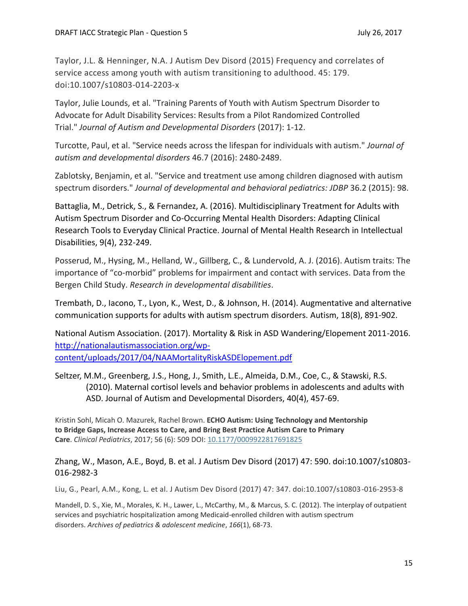Taylor, J.L. & Henninger, N.A. J Autism Dev Disord (2015) Frequency and correlates of service access among youth with autism transitioning to adulthood. 45: 179. doi:10.1007/s10803-014-2203-x

Taylor, Julie Lounds, et al. "Training Parents of Youth with Autism Spectrum Disorder to Advocate for Adult Disability Services: Results from a Pilot Randomized Controlled Trial." *Journal of Autism and Developmental Disorders* (2017): 1-12.

Turcotte, Paul, et al. "Service needs across the lifespan for individuals with autism." *Journal of autism and developmental disorders* 46.7 (2016): 2480-2489.

Zablotsky, Benjamin, et al. "Service and treatment use among children diagnosed with autism spectrum disorders." *Journal of developmental and behavioral pediatrics: JDBP* 36.2 (2015): 98.

Battaglia, M., Detrick, S., & Fernandez, A. (2016). Multidisciplinary Treatment for Adults with Autism Spectrum Disorder and Co-Occurring Mental Health Disorders: Adapting Clinical Research Tools to Everyday Clinical Practice. Journal of Mental Health Research in Intellectual Disabilities, 9(4), 232-249.

Posserud, M., Hysing, M., Helland, W., Gillberg, C., & Lundervold, A. J. (2016). Autism traits: The importance of "co-morbid" problems for impairment and contact with services. Data from the Bergen Child Study. *Research in developmental disabilities*.

Trembath, D., Iacono, T., Lyon, K., West, D., & Johnson, H. (2014). Augmentative and alternative communication supports for adults with autism spectrum disorders. Autism, 18(8), 891-902.

National Autism Association. (2017). Mortality & Risk in ASD Wandering/Elopement 2011-2016. [http://nationalautismassociation.org/wp](http://nationalautismassociation.org/wp-content/uploads/2017/04/NAAMortalityRiskASDElopement.pdf)[content/uploads/2017/04/NAAMortalityRiskASDElopement.pdf](http://nationalautismassociation.org/wp-content/uploads/2017/04/NAAMortalityRiskASDElopement.pdf)

Seltzer, M.M., Greenberg, J.S., Hong, J., Smith, L.E., Almeida, D.M., Coe, C., & Stawski, R.S. (2010). Maternal cortisol levels and behavior problems in adolescents and adults with ASD. Journal of Autism and Developmental Disorders, 40(4), 457-69.

Kristin Sohl, Micah O. Mazurek, Rachel Brown. **ECHO Autism: Using Technology and Mentorship to Bridge Gaps, Increase Access to Care, and Bring Best Practice Autism Care to Primary Care**. *Clinical Pediatrics*, 2017; 56 (6): 509 DOI: [10.1177/0009922817691825](http://dx.doi.org/10.1177/0009922817691825)

# Zhang, W., Mason, A.E., Boyd, B. et al. J Autism Dev Disord (2017) 47: 590. doi:10.1007/s10803- 016-2982-3

Liu, G., Pearl, A.M., Kong, L. et al. J Autism Dev Disord (2017) 47: 347. doi:10.1007/s10803-016-2953-8

Mandell, D. S., Xie, M., Morales, K. H., Lawer, L., McCarthy, M., & Marcus, S. C. (2012). The interplay of outpatient services and psychiatric hospitalization among Medicaid-enrolled children with autism spectrum disorders. *Archives of pediatrics & adolescent medicine*, *166*(1), 68-73.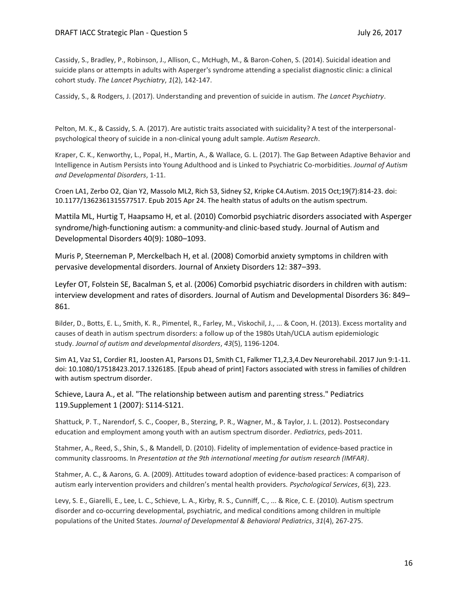Cassidy, S., Bradley, P., Robinson, J., Allison, C., McHugh, M., & Baron-Cohen, S. (2014). Suicidal ideation and suicide plans or attempts in adults with Asperger's syndrome attending a specialist diagnostic clinic: a clinical cohort study. *The Lancet Psychiatry*, *1*(2), 142-147.

Cassidy, S., & Rodgers, J. (2017). Understanding and prevention of suicide in autism. *The Lancet Psychiatry*.

Pelton, M. K., & Cassidy, S. A. (2017). Are autistic traits associated with suicidality? A test of the interpersonalpsychological theory of suicide in a non-clinical young adult sample. *Autism Research*.

Kraper, C. K., Kenworthy, L., Popal, H., Martin, A., & Wallace, G. L. (2017). The Gap Between Adaptive Behavior and Intelligence in Autism Persists into Young Adulthood and is Linked to Psychiatric Co-morbidities. *Journal of Autism and Developmental Disorders*, 1-11.

Croen LA1, Zerbo O2, Qian Y2, Massolo ML2, Rich S3, Sidney S2, Kripke C4.Autism. 2015 Oct;19(7):814-23. doi: 10.1177/1362361315577517. Epub 2015 Apr 24. The health status of adults on the autism spectrum.

Mattila ML, Hurtig T, Haapsamo H, et al. (2010) Comorbid psychiatric disorders associated with Asperger syndrome/high-functioning autism: a community-and clinic-based study. Journal of Autism and Developmental Disorders 40(9): 1080–1093.

Muris P, Steerneman P, Merckelbach H, et al. (2008) Comorbid anxiety symptoms in children with pervasive developmental disorders. Journal of Anxiety Disorders 12: 387–393.

Leyfer OT, Folstein SE, Bacalman S, et al. (2006) Comorbid psychiatric disorders in children with autism: interview development and rates of disorders. Journal of Autism and Developmental Disorders 36: 849– 861.

Bilder, D., Botts, E. L., Smith, K. R., Pimentel, R., Farley, M., Viskochil, J., ... & Coon, H. (2013). Excess mortality and causes of death in autism spectrum disorders: a follow up of the 1980s Utah/UCLA autism epidemiologic study. *Journal of autism and developmental disorders*, *43*(5), 1196-1204.

Sim A1, Vaz S1, Cordier R1, Joosten A1, Parsons D1, Smith C1, Falkmer T1,2,3,4.Dev Neurorehabil. 2017 Jun 9:1-11. doi: 10.1080/17518423.2017.1326185. [Epub ahead of print] Factors associated with stress in families of children with autism spectrum disorder.

Schieve, Laura A., et al. "The relationship between autism and parenting stress." Pediatrics 119.Supplement 1 (2007): S114-S121.

Shattuck, P. T., Narendorf, S. C., Cooper, B., Sterzing, P. R., Wagner, M., & Taylor, J. L. (2012). Postsecondary education and employment among youth with an autism spectrum disorder. *Pediatrics*, peds-2011.

Stahmer, A., Reed, S., Shin, S., & Mandell, D. (2010). Fidelity of implementation of evidence-based practice in community classrooms. In *Presentation at the 9th international meeting for autism research (IMFAR)*.

Stahmer, A. C., & Aarons, G. A. (2009). Attitudes toward adoption of evidence-based practices: A comparison of autism early intervention providers and children's mental health providers. *Psychological Services*, *6*(3), 223.

Levy, S. E., Giarelli, E., Lee, L. C., Schieve, L. A., Kirby, R. S., Cunniff, C., ... & Rice, C. E. (2010). Autism spectrum disorder and co-occurring developmental, psychiatric, and medical conditions among children in multiple populations of the United States. *Journal of Developmental & Behavioral Pediatrics*, *31*(4), 267-275.